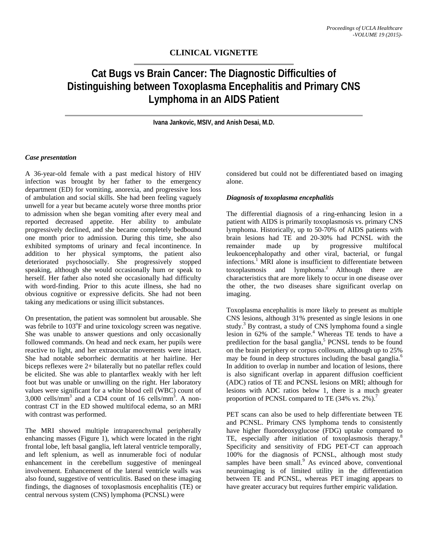## **CLINICAL VIGNETTE**

# **Cat Bugs vs Brain Cancer: The Diagnostic Difficulties of Distinguishing between Toxoplasma Encephalitis and Primary CNS Lymphoma in an AIDS Patient**

**Ivana Jankovic, MSIV, and Anish Desai, M.D.** 

#### *Case presentation*

A 36-year-old female with a past medical history of HIV infection was brought by her father to the emergency department (ED) for vomiting, anorexia, and progressive loss of ambulation and social skills. She had been feeling vaguely unwell for a year but became acutely worse three months prior to admission when she began vomiting after every meal and reported decreased appetite. Her ability to ambulate progressively declined, and she became completely bedbound one month prior to admission. During this time, she also exhibited symptoms of urinary and fecal incontinence. In addition to her physical symptoms, the patient also deteriorated psychosocially. She progressively stopped speaking, although she would occasionally hum or speak to herself. Her father also noted she occasionally had difficulty with word-finding. Prior to this acute illness, she had no obvious cognitive or expressive deficits. She had not been taking any medications or using illicit substances.

On presentation, the patient was somnolent but arousable. She was febrile to 103°F and urine toxicology screen was negative. She was unable to answer questions and only occasionally followed commands. On head and neck exam, her pupils were reactive to light, and her extraocular movements were intact. She had notable seborrheic dermatitis at her hairline. Her biceps reflexes were 2+ bilaterally but no patellar reflex could be elicited. She was able to plantarflex weakly with her left foot but was unable or unwilling on the right. Her laboratory values were significant for a white blood cell (WBC) count of 3,000 cells/mm<sup>3</sup> and a CD4 count of 16 cells/mm<sup>3</sup>. A noncontrast CT in the ED showed multifocal edema, so an MRI with contrast was performed.

The MRI showed multiple intraparenchymal peripherally enhancing masses (Figure 1), which were located in the right frontal lobe, left basal ganglia, left lateral ventricle temporally, and left splenium, as well as innumerable foci of nodular enhancement in the cerebellum suggestive of meningeal involvement. Enhancement of the lateral ventricle walls was also found, suggestive of ventriculitis. Based on these imaging findings, the diagnoses of toxoplasmosis encephalitis (TE) or central nervous system (CNS) lymphoma (PCNSL) were

considered but could not be differentiated based on imaging alone.

#### *Diagnosis of toxoplasma encephalitis*

The differential diagnosis of a ring-enhancing lesion in a patient with AIDS is primarily toxoplasmosis vs. primary CNS lymphoma. Historically, up to 50-70% of AIDS patients with brain lesions had TE and 20-30% had PCNSL with the remainder made up by progressive multifocal leukoencephalopathy and other viral, bacterial, or fungal infections.<sup>1</sup> MRI alone is insufficient to differentiate between toxoplasmosis and lymphoma.<sup>2</sup> Although there are characteristics that are more likely to occur in one disease over the other, the two diseases share significant overlap on imaging.

Toxoplasma encephalitis is more likely to present as multiple CNS lesions, although 31% presented as single lesions in one study.<sup>3</sup> By contrast, a study of CNS lymphoma found a single lesion in 62% of the sample.<sup>4</sup> Whereas TE tends to have a predilection for the basal ganglia,<sup>5</sup> PCNSL tends to be found on the brain periphery or corpus collosum, although up to 25% may be found in deep structures including the basal ganglia.<sup>6</sup> In addition to overlap in number and location of lesions, there is also significant overlap in apparent diffusion coefficient (ADC) ratios of TE and PCNSL lesions on MRI; although for lesions with ADC ratios below 1, there is a much greater proportion of PCNSL compared to TE  $(34\% \text{ vs. } 2\%).$ <sup>7</sup>

PET scans can also be used to help differentiate between TE and PCNSL. Primary CNS lymphoma tends to consistently have higher fluorodeoxyglucose (FDG) uptake compared to TE, especially after initiation of toxoplasmosis therapy.<sup>8</sup> Specificity and sensitivity of FDG PET-CT can approach 100% for the diagnosis of PCNSL, although most study samples have been small.<sup>9</sup> As evinced above, conventional neuroimaging is of limited utility in the differentiation between TE and PCNSL, whereas PET imaging appears to have greater accuracy but requires further empiric validation.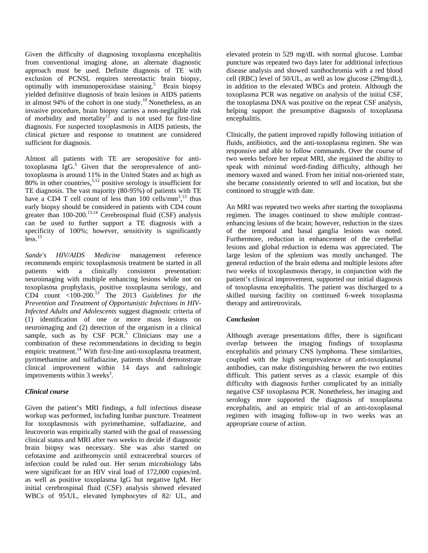Given the difficulty of diagnosing toxoplasma encephalitis from conventional imaging alone, an alternate diagnostic approach must be used. Definite diagnosis of TE with exclusion of PCNSL requires stereotactic brain biopsy, optimally with immunoperoxidase staining.<sup>5</sup> Brain biopsy yielded definitive diagnosis of brain lesions in AIDS patients in almost 94% of the cohort in one study.<sup>10</sup> Nonetheless, as an invasive procedure, brain biopsy carries a non-negligible risk of morbidity and mortality<sup>11</sup> and is not used for first-line diagnosis. For suspected toxoplasmosis in AIDS patients, the clinical picture and response to treatment are considered sufficient for diagnosis.

Almost all patients with TE are seropositive for antitoxoplasma  $I_{\text{g}}G$ <sup>5</sup> Given that the seroprevalence of antitoxoplasma is around 11% in the United States and as high as  $80\%$  in other countries,<sup>5,12</sup> positive serology is insufficient for TE diagnosis. The vast majority (80-95%) of patients with TE have a CD4 T cell count of less than  $100$  cells/mm<sup>3</sup>,<sup>13</sup> thus early biopsy should be considered in patients with CD4 count greater than 100-200.<sup>13,14</sup> Cerebrospinal fluid (CSF) analysis can be used to further support a TE diagnosis with a specificity of 100%; however, sensitivity is significantly  $l$ ess.<sup>15</sup>

*Sande's HIV/AIDS Medicine* management reference recommends empiric toxoplasmosis treatment be started in all patients with a clinically consistent presentation: neuroimaging with multiple enhancing lesions while not on toxoplasma prophylaxis, positive toxoplasma serology, and CD4 count <100-200.13 The 2013 *Guidelines for the Prevention and Treatment of Opportunistic Infections in HIV-Infected Adults and Adolescents* suggest diagnostic criteria of (1) identification of one or more mass lesions on neuroimaging and (2) detection of the organism in a clinical sample, such as by  $CSF$   $PCR<sup>5</sup>$  Clinicians may use a combination of these recommendations in deciding to begin empiric treatment.<sup>14</sup> With first-line anti-toxoplasma treatment, pyrimethamine and sulfadiazine, patients should demonstrate clinical improvement within 14 days and radiologic improvements within  $3$  weeks<sup>3</sup>.

### *Clinical course*

Given the patient's MRI findings, a full infectious disease workup was performed, including lumbar puncture. Treatment for toxoplasmosis with pyrimethamine, sulfadiazine, and leucovorin was empirically started with the goal of reassessing clinical status and MRI after two weeks to decide if diagnostic brain biopsy was necessary. She was also started on cefotaxime and azithromycin until extracerebral sources of infection could be ruled out. Her serum microbiology labs were significant for an HIV viral load of 172,000 copies/mL as well as positive toxoplasma IgG but negative IgM. Her initial cerebrospinal fluid (CSF) analysis showed elevated WBCs of 95/UL, elevated lymphocytes of 82/ UL, and

elevated protein to 529 mg/dL with normal glucose. Lumbar puncture was repeated two days later for additional infectious disease analysis and showed xanthochromia with a red blood cell (RBC) level of 50/UL, as well as low glucose (29mg/dL), in addition to the elevated WBCs and protein. Although the toxoplasma PCR was negative on analysis of the initial CSF, the toxoplasma DNA was positive on the repeat CSF analysis, helping support the presumptive diagnosis of toxoplasma encephalitis.

Clinically, the patient improved rapidly following initiation of fluids, antibiotics, and the anti-toxoplasma regimen. She was responsive and able to follow commands. Over the course of two weeks before her repeat MRI, she regained the ability to speak with minimal word-finding difficulty, although her memory waxed and waned. From her initial non-oriented state, she became consistently oriented to self and location, but she continued to struggle with date.

An MRI was repeated two weeks after starting the toxoplasma regimen. The images continued to show multiple contrastenhancing lesions of the brain; however, reduction in the sizes of the temporal and basal ganglia lesions was noted. Furthermore, reduction in enhancement of the cerebellar lesions and global reduction in edema was appreciated. The large lesion of the splenium was mostly unchanged. The general reduction of the brain edema and multiple lesions after two weeks of toxoplasmosis therapy, in conjunction with the patient's clinical improvement, supported our initial diagnosis of toxoplasma encephalitis. The patient was discharged to a skilled nursing facility on continued 6-week toxoplasma therapy and antiretrovirals.

### *Conclusion*

Although average presentations differ, there is significant overlap between the imaging findings of toxoplasma encephalitis and primary CNS lymphoma. These similarities, coupled with the high seroprevalence of anti-toxoplasmal antibodies, can make distinguishing between the two entities difficult. This patient serves as a classic example of this difficulty with diagnosis further complicated by an initially negative CSF toxoplasma PCR. Nonetheless, her imaging and serology more supported the diagnosis of toxoplasma encephalitis, and an empiric trial of an anti-toxoplasmal regimen with imaging follow-up in two weeks was an appropriate course of action.